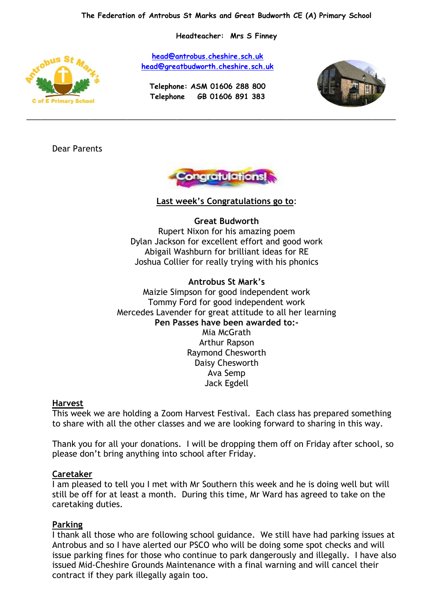**Headteacher: Mrs S Finney**

**[head@antrobus.cheshire.sch.uk](mailto:head@antrobus-st-marks.cheshire.sch.uk) [head@greatbudworth.cheshire.sch.uk](mailto:head@greatbudworth.cheshire.sch.uk)**

> **Telephone: ASM 01606 288 800 Telephone GB 01606 891 383**

\_\_\_\_\_\_\_\_\_\_\_\_\_\_\_\_\_\_\_\_\_\_\_\_\_\_\_\_\_\_\_\_\_\_\_\_\_\_\_\_\_\_\_\_\_\_\_\_\_\_\_\_\_\_\_\_\_\_\_\_\_\_\_\_\_\_\_\_\_\_\_\_\_\_\_\_\_\_\_\_\_



Dear Parents



**Last week's Congratulations go to**:

**Great Budworth** Rupert Nixon for his amazing poem Dylan Jackson for excellent effort and good work Abigail Washburn for brilliant ideas for RE Joshua Collier for really trying with his phonics

**Antrobus St Mark's** Maizie Simpson for good independent work Tommy Ford for good independent work Mercedes Lavender for great attitude to all her learning **Pen Passes have been awarded to:-** Mia McGrath Arthur Rapson Raymond Chesworth Daisy Chesworth Ava Semp Jack Egdell

## **Harvest**

This week we are holding a Zoom Harvest Festival. Each class has prepared something to share with all the other classes and we are looking forward to sharing in this way.

Thank you for all your donations. I will be dropping them off on Friday after school, so please don't bring anything into school after Friday.

## **Caretaker**

I am pleased to tell you I met with Mr Southern this week and he is doing well but will still be off for at least a month. During this time, Mr Ward has agreed to take on the caretaking duties.

## **Parking**

I thank all those who are following school guidance. We still have had parking issues at Antrobus and so I have alerted our PSCO who will be doing some spot checks and will issue parking fines for those who continue to park dangerously and illegally. I have also issued Mid-Cheshire Grounds Maintenance with a final warning and will cancel their contract if they park illegally again too.